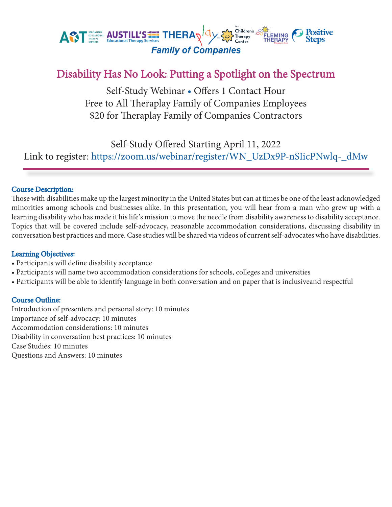

## Disability Has No Look: Putting a Spotlight on the Spectrum

Self-Study Webinar • Offers 1 Contact Hour Free to All Theraplay Family of Companies Employees \$20 for Theraplay Family of Companies Contractors

Self-Study Offered Starting April 11, 2022 Link to register: https://zoom.us/webinar/register/WN\_UzDx9P-nSIicPNwlq-\_dMw

### Course Description:

Those with disabilities make up the largest minority in the United States but can at times be one of the least acknowledged minorities among schools and businesses alike. In this presentation, you will hear from a man who grew up with a learning disability who has made it his life's mission to move the needle from disability awareness to disability acceptance. Topics that will be covered include self-advocacy, reasonable accommodation considerations, discussing disability in conversation best practices and more. Case studies will be shared via videos of current self-advocates who have disabilities.

#### Learning Objectives:

- Participants will define disability acceptance
- Participants will name two accommodation considerations for schools, colleges and universities
- Participants will be able to identify language in both conversation and on paper that is inclusiveand respectful

#### Course Outline:

Introduction of presenters and personal story: 10 minutes Importance of self-advocacy: 10 minutes Accommodation considerations: 10 minutes Disability in conversation best practices: 10 minutes Case Studies: 10 minutes Questions and Answers: 10 minutes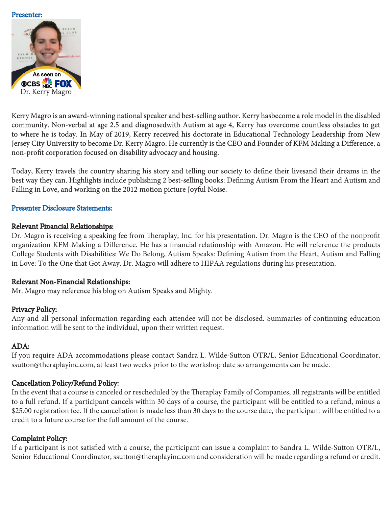#### Presenter:



Kerry Magro is an award-winning national speaker and best-selling author. Kerry hasbecome a role model in the disabled community. Non-verbal at age 2.5 and diagnosedwith Autism at age 4, Kerry has overcome countless obstacles to get to where he is today. In May of 2019, Kerry received his doctorate in Educational Technology Leadership from New Jersey City University to become Dr. Kerry Magro. He currently is the CEO and Founder of KFM Making a Difference, a non-profit corporation focused on disability advocacy and housing.

Today, Kerry travels the country sharing his story and telling our society to define their livesand their dreams in the best way they can. Highlights include publishing 2 best-selling books: Defining Autism From the Heart and Autism and Falling in Love, and working on the 2012 motion picture Joyful Noise.

#### Presenter Disclosure Statements:

#### Relevant Financial Relationships:

Dr. Magro is receiving a speaking fee from Theraplay, Inc. for his presentation. Dr. Magro is the CEO of the nonprofit organization KFM Making a Difference. He has a financial relationship with Amazon. He will reference the products College Students with Disabilities: We Do Belong, Autism Speaks: Defining Autism from the Heart, Autism and Falling in Love: To the One that Got Away. Dr. Magro will adhere to HIPAA regulations during his presentation.

### Relevant Non-Financial Relationships:

### Mr. Magro may reference his blog on Autism Speaks and Mighty.

### Privacy Policy:

Any and all personal information regarding each attendee will not be disclosed. Summaries of continuing education information will be sent to the individual, upon their written request.

### ADA:

If you require ADA accommodations please contact Sandra L. Wilde-Sutton OTR/L, Senior Educational Coordinator, ssutton@theraplayinc.com, at least two weeks prior to the workshop date so arrangements can be made.

### Cancellation Policy/Refund Policy:

In the event that a course is canceled or rescheduled by the Theraplay Family of Companies, all registrants will be entitled to a full refund. If a participant cancels within 30 days of a course, the participant will be entitled to a refund, minus a \$25.00 registration fee. If the cancellation is made less than 30 days to the course date, the participant will be entitled to a credit to a future course for the full amount of the course.

### Complaint Policy:

If a participant is not satisfied with a course, the participant can issue a complaint to Sandra L. Wilde-Sutton OTR/L, Senior Educational Coordinator, ssutton@theraplayinc.com and consideration will be made regarding a refund or credit.